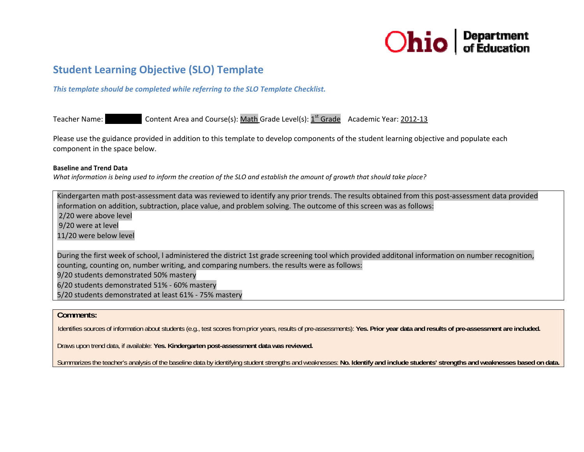

# **Student Learning Objective (SLO) Template**

*This template should be completed while referring to the SLO Template Checklist.*

#### Teacher Name: Content Area and Course(s): Math Grade Level(s): 1<sup>st</sup> Grade Academic Year: 2012-13

Please use the guidance provided in addition to this template to develop components of the student learning objective and populate each component in the space below.

#### **Baseline and Trend Data**

What information is being used to inform the creation of the SLO and establish the amount of growth that should take place?

Kindergarten math post‐assessment data was reviewed to identify any prior trends. The results obtained from this post‐assessment data provided information on addition, subtraction, place value, and problem solving. The outcome of this screen was as follows: 2/20 were above level 9/20 were at level 11/20 were below level

During the first week of school, l administered the district 1st grade screening tool which provided additonal information on number recognition, counting, counting on, number writing, and comparing numbers. the results were as follows: 9/20 students demonstrated 50% mastery 6/20 students demonstrated 51% ‐ 60% mastery 5/20 students demonstrated at least 61% ‐ 75% mastery

### **Comments:**

Identifies sources of information about students (e.g., test scores from prior years, results of pre-assessments): Yes. Prior year data and results of pre-assessment are included.

Draws upon trend data, if available: **Yes. Kindergarten post-assessment data was reviewed.** 

Summarizes the teacher's analysis of the baseline data by identifying student strengths and weaknesses: **No. Identify and include students' strengths and weaknesses based on data.**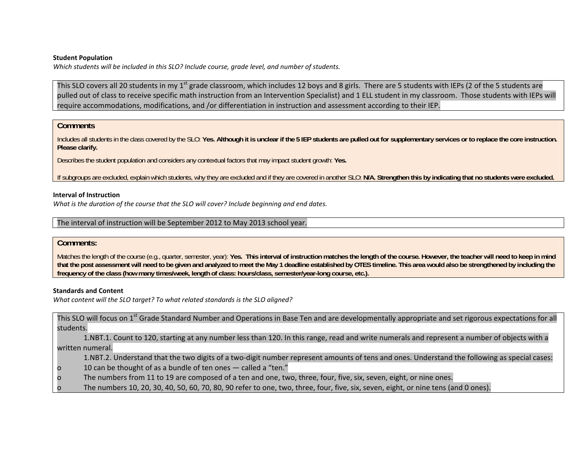#### **Student Population**

*Which students will be included in this SLO? Include course, grade level, and number of students.*

This SLO covers all 20 students in my 1<sup>st</sup> grade classroom, which includes 12 boys and 8 girls. There are 5 students with IEPs (2 of the 5 students are pulled out of class to receive specific math instruction from an Intervention Specialist) and 1 ELL student in my classroom. Those students with IEPs will require accommodations, modifications, and /or differentiation in instruction and assessment according to their IEP.

# **Comments**

Includes all students in the class covered by the SLO: **Yes. Although it is unclear if the 5 IEP students are pulled out for supplementary services or to replace the core instruction. Please clarify.** 

Describes the student population and considers any contextual factors that may impact student growth: **Yes.** 

If subgroups are excluded, explain which students, why they are excluded and if they are covered in another SLO: **N/A. Strengthen this by indicating that no students were excluded.**

### **Interval of Instruction**

*What is the duration of the course that the SLO will cover? Include beginning and end dates.*

The interval of instruction will be September 2012 to May 2013 school year.

### **Comments:**

Matches the length of the course (e.g., quarter, semester, year): Yes. This interval of instruction matches the length of the course. However, the teacher will need to keep in mind **that the post assessment will need to be given and analyzed to meet the May 1 deadline established by OTES timeline. This area would also be strengthened by including the frequency of the class (how many times/week, length of class: hours/class, semester/year-long course, etc.).**

### **Standards and Content**

*What content will the SLO target? To what related standards is the SLO aligned?*

This SLO will focus on 1<sup>st</sup> Grade Standard Number and Operations in Base Ten and are developmentally appropriate and set rigorous expectations for all students.

1.NBT.1. Count to 120, starting at any number less than 120. In this range, read and write numerals and represent <sup>a</sup> number of objects with <sup>a</sup> written numeral.

1.NBT.2. Understand that the two digits of <sup>a</sup> two‐digit number represent amounts of tens and ones. Understand the following as special cases:

- o10 can be thought of as <sup>a</sup> bundle of ten ones — called <sup>a</sup> "ten."
- oThe numbers from 11 to 19 are composed of <sup>a</sup> ten and one, two, three, four, five, six, seven, eight, or nine ones.
- oThe numbers 10, 20, 30, 40, 50, 60, 70, 80, 90 refer to one, two, three, four, five, six, seven, eight, or nine tens (and 0 ones).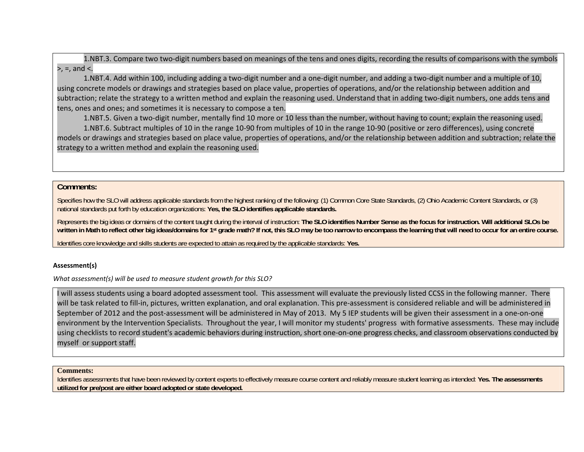1.NBT.3. Compare two two‐digit numbers based on meanings of the tens and ones digits, recording the results of comparisons with the symbols  $>$ , =, and  $\lt$ .

1.NBT.4. Add within 100, including adding <sup>a</sup> two‐digit number and <sup>a</sup> one‐digit number, and adding <sup>a</sup> two‐digit number and <sup>a</sup> multiple of 10, using concrete models or drawings and strategies based on place value, properties of operations, and/or the relationship between addition and subtraction; relate the strategy to a written method and explain the reasoning used. Understand that in adding two-digit numbers, one adds tens and tens, ones and ones; and sometimes it is necessary to compose <sup>a</sup> ten.

1.NBT.5. Given <sup>a</sup> two‐digit number, mentally find 10 more or 10 less than the number, without having to count; explain the reasoning used. 1.NBT.6. Subtract multiples of 10 in the range 10‐90 from multiples of 10 in the range 10‐90 (positive or zero differences), using concrete models or drawings and strategies based on place value, properties of operations, and/or the relationship between addition and subtraction; relate the strategy to <sup>a</sup> written method and explain the reasoning used.

# **Comments:**

Specifies how the SLO will address applicable standards from the highest ranking of the following: (1) Common Core State Standards, (2) Ohio Academic Content Standards, or (3) national standards put forth by education organizations: **Yes, the SLO identifies applicable standards.**

Represents the big ideas or domains of the content taught during the interval of instruction: **The SLO identifies Number Sense as the focus for instruction. Will additional SLOs be**  written in Math to reflect other big ideas/domains for 1<sup>st</sup> grade math? If not, this SLO may be too narrow to encompass the learning that will need to occur for an entire course.

Identifies core knowledge and skills students are expected to attain as required by the applicable standards: **Yes.**

# **Assessment(s)**

*What assessment(s) will be used to measure student growth for this SLO?*

I will assess students using a board adopted assessment tool. This assessment will evaluate the previously listed CCSS in the following manner. There will be task related to fill‐in, pictures, written explanation, and oral explanation. This pre‐assessment is considered reliable and will be administered in September of 2012 and the post-assessment will be administered in May of 2013. My 5 IEP students will be given their assessment in a one-on-one environment by the Intervention Specialists. Throughout the year, I will monitor my students' progress with formative assessments. These may include using checklists to record student's academic behaviors during instruction, short one‐on‐one progress checks, and classroom observations conducted by myself or support staff.

#### **Comments:**

Identifies assessments that have been reviewed by content experts to effectively measure course content and reliably measure student learning as intended: **Yes. The assessments utilized for pre/post are either board adopted or state developed.**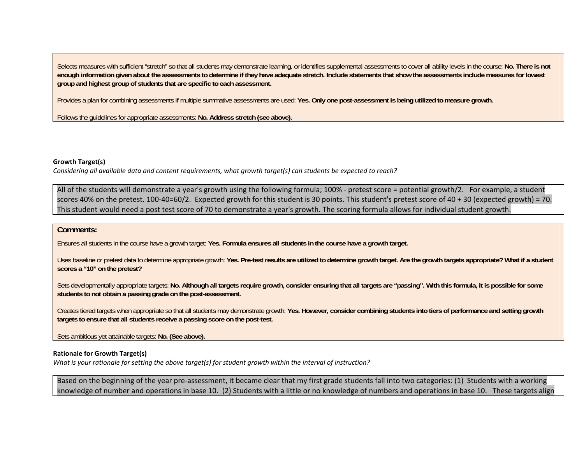Selects measures with sufficient "stretch" so that all students may demonstrate learning, or identifies supplemental assessments to cover all ability levels in the course: No. There is not enough information given about the assessments to determine if they have adequate stretch. Include statements that show the assessments include measures for lowest **group and highest group of students that are specific to each assessment.** 

Provides a plan for combining assessments if multiple summative assessments are used: **Yes. Only one post-assessment is being utilized to measure growth.** 

Follows the guidelines for appropriate assessments: **No. Address stretch (see above).**

#### **Growth Target(s)**

Considering all available data and content requirements, what growth target(s) can students be expected to reach?

All of the students will demonstrate <sup>a</sup> year's growth using the following formula; 100% ‐ pretest score <sup>=</sup> potential growth/2. For example, <sup>a</sup> student scores 40% on the pretest. 100‐40=60/2. Expected growth for this student is 30 points. This student's pretest score of 40 <sup>+</sup> 30 (expected growth) <sup>=</sup> 70. This student would need <sup>a</sup> post test score of 70 to demonstrate <sup>a</sup> year's growth. The scoring formula allows for individual student growth.

# **Comments:**

Ensures all students in the course have a growth target: **Yes. Formula ensures all students in the course have a growth target.** 

Uses baseline or pretest data to determine appropriate growth: Yes. Pre-test results are utilized to determine growth target. Are the growth targets appropriate? What if a student **scores a "10" on the pretest?** 

Sets developmentally appropriate targets: No. Although all targets require growth, consider ensuring that all targets are "passing". With this formula, it is possible for some **students to not obtain a passing grade on the post-assessment.** 

Creates tiered targets when appropriate so that all students may demonstrate growth: **Yes. However, consider combining students into tiers of performance and setting growth targets to ensure that all students receive a passing score on the post-test.** 

Sets ambitious yet attainable targets: **No. (See above).** 

### **Rationale for Growth Target(s)**

What is your rationale for setting the above target(s) for student growth within the interval of instruction?

Based on the beginning of the year pre‐assessment, it became clear that my first grade students fall into two categories: (1) Students with <sup>a</sup> working knowledge of number and operations in base 10. (2) Students with <sup>a</sup> little or no knowledge of numbers and operations in base 10. These targets align